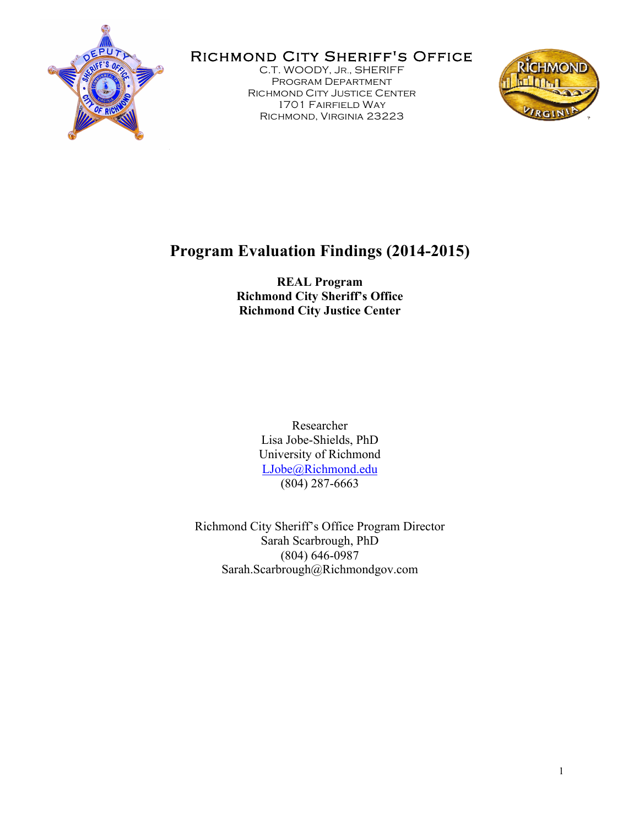

# RICHMOND CITY SHERIFF'S OFFICE<br>C.T. WOODY, JR., SHERIFF

Program Department Richmond City Justice Center 1701 Fairfield Way Richmond, Virginia 23223



# **Program Evaluation Findings (2014-2015)**

**REAL Program Richmond City Sheriff's Office Richmond City Justice Center**

> Researcher Lisa Jobe-Shields, PhD University of Richmond LJobe@Richmond.edu (804) 287-6663

Richmond City Sheriff's Office Program Director Sarah Scarbrough, PhD (804) 646-0987 Sarah.Scarbrough@Richmondgov.com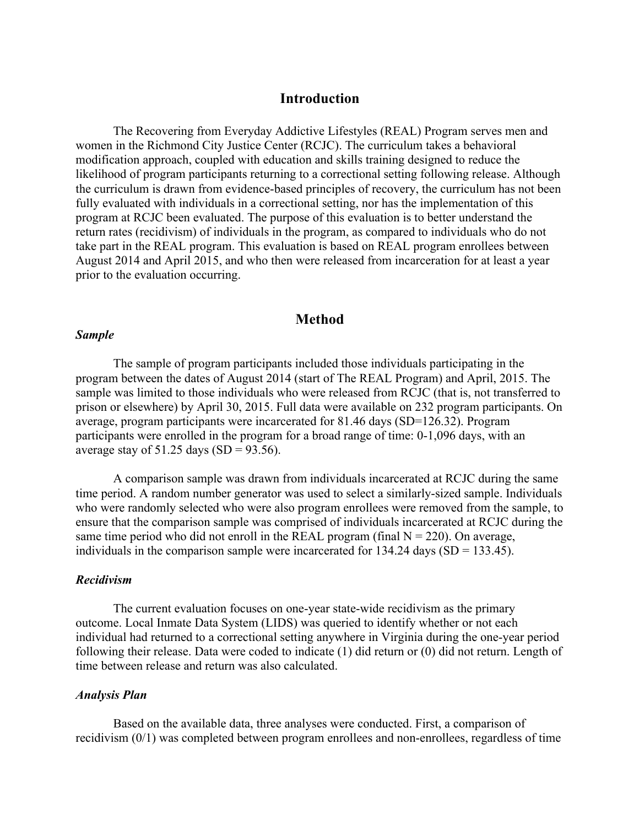# **Introduction**

The Recovering from Everyday Addictive Lifestyles (REAL) Program serves men and women in the Richmond City Justice Center (RCJC). The curriculum takes a behavioral modification approach, coupled with education and skills training designed to reduce the likelihood of program participants returning to a correctional setting following release. Although the curriculum is drawn from evidence-based principles of recovery, the curriculum has not been fully evaluated with individuals in a correctional setting, nor has the implementation of this program at RCJC been evaluated. The purpose of this evaluation is to better understand the return rates (recidivism) of individuals in the program, as compared to individuals who do not take part in the REAL program. This evaluation is based on REAL program enrollees between August 2014 and April 2015, and who then were released from incarceration for at least a year prior to the evaluation occurring.

## **Method**

#### *Sample*

The sample of program participants included those individuals participating in the program between the dates of August 2014 (start of The REAL Program) and April, 2015. The sample was limited to those individuals who were released from RCJC (that is, not transferred to prison or elsewhere) by April 30, 2015. Full data were available on 232 program participants. On average, program participants were incarcerated for 81.46 days (SD=126.32). Program participants were enrolled in the program for a broad range of time: 0-1,096 days, with an average stay of  $51.25$  days (SD = 93.56).

A comparison sample was drawn from individuals incarcerated at RCJC during the same time period. A random number generator was used to select a similarly-sized sample. Individuals who were randomly selected who were also program enrollees were removed from the sample, to ensure that the comparison sample was comprised of individuals incarcerated at RCJC during the same time period who did not enroll in the REAL program (final  $N = 220$ ). On average, individuals in the comparison sample were incarcerated for  $134.24$  days (SD = 133.45).

#### *Recidivism*

The current evaluation focuses on one-year state-wide recidivism as the primary outcome. Local Inmate Data System (LIDS) was queried to identify whether or not each individual had returned to a correctional setting anywhere in Virginia during the one-year period following their release. Data were coded to indicate (1) did return or (0) did not return. Length of time between release and return was also calculated.

#### *Analysis Plan*

Based on the available data, three analyses were conducted. First, a comparison of recidivism (0/1) was completed between program enrollees and non-enrollees, regardless of time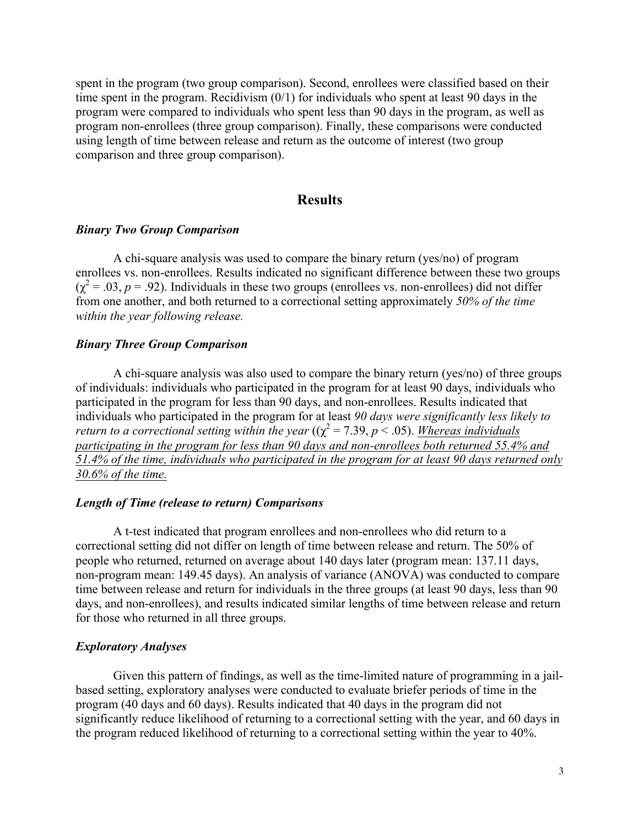spent in the program (two group comparison). Second, enrollees were classified based on their time spent in the program. Recidivism (0/1) for individuals who spent at least 90 days in the program were compared to individuals who spent less than 90 days in the program, as well as program non-enrollees (three group comparison). Finally, these comparisons were conducted using length of time between release and return as the outcome of interest (two group comparison and three group comparison).

## **Results**

#### *Binary Two Group Comparison*

A chi-square analysis was used to compare the binary return (yes/no) of program enrollees vs. non-enrollees. Results indicated no significant difference between these two groups  $(\chi^2 = .03, p = .92)$ . Individuals in these two groups (enrollees vs. non-enrollees) did not differ from one another, and both returned to a correctional setting approximately *50% of the time within the year following release.* 

#### *Binary Three Group Comparison*

A chi-square analysis was also used to compare the binary return (yes/no) of three groups of individuals: individuals who participated in the program for at least 90 days, individuals who participated in the program for less than 90 days, and non-enrollees. Results indicated that individuals who participated in the program for at least *90 days were significantly less likely to return to a correctional setting within the year* ( $(\chi^2 = 7.39, p < .05)$ ). *Whereas individuals participating in the program for less than 90 days and non-enrollees both returned 55.4% and 51.4% of the time, individuals who participated in the program for at least 90 days returned only 30.6% of the time.* 

#### *Length of Time (release to return) Comparisons*

A t-test indicated that program enrollees and non-enrollees who did return to a correctional setting did not differ on length of time between release and return. The 50% of people who returned, returned on average about 140 days later (program mean: 137.11 days, non-program mean: 149.45 days). An analysis of variance (ANOVA) was conducted to compare time between release and return for individuals in the three groups (at least 90 days, less than 90 days, and non-enrollees), and results indicated similar lengths of time between release and return for those who returned in all three groups.

#### *Exploratory Analyses*

Given this pattern of findings, as well as the time-limited nature of programming in a jailbased setting, exploratory analyses were conducted to evaluate briefer periods of time in the program (40 days and 60 days). Results indicated that 40 days in the program did not significantly reduce likelihood of returning to a correctional setting with the year, and 60 days in the program reduced likelihood of returning to a correctional setting within the year to 40%.